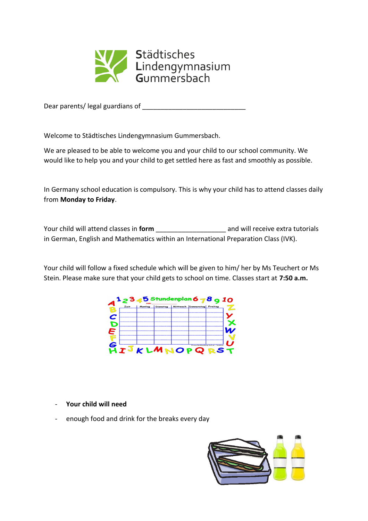

Dear parents/ legal guardians of \_\_\_\_\_\_\_\_\_\_\_\_\_\_\_\_\_\_\_\_\_\_\_\_\_\_\_\_

Welcome to Städtisches Lindengymnasium Gummersbach.

We are pleased to be able to welcome you and your child to our school community. We would like to help you and your child to get settled here as fast and smoothly as possible.

In Germany school education is compulsory. This is why your child has to attend classes daily from **Monday to Friday**.

Your child will attend classes in **form** \_\_\_\_\_\_\_\_\_\_\_\_\_\_\_\_\_\_\_ and will receive extra tutorials in German, English and Mathematics within an International Preparation Class (IVK).

Your child will follow a fixed schedule which will be given to him/ her by Ms Teuchert or Ms Stein. Please make sure that your child gets to school on time. Classes start at **7:50 a.m.**



- **Your child will need**
- enough food and drink for the breaks every day